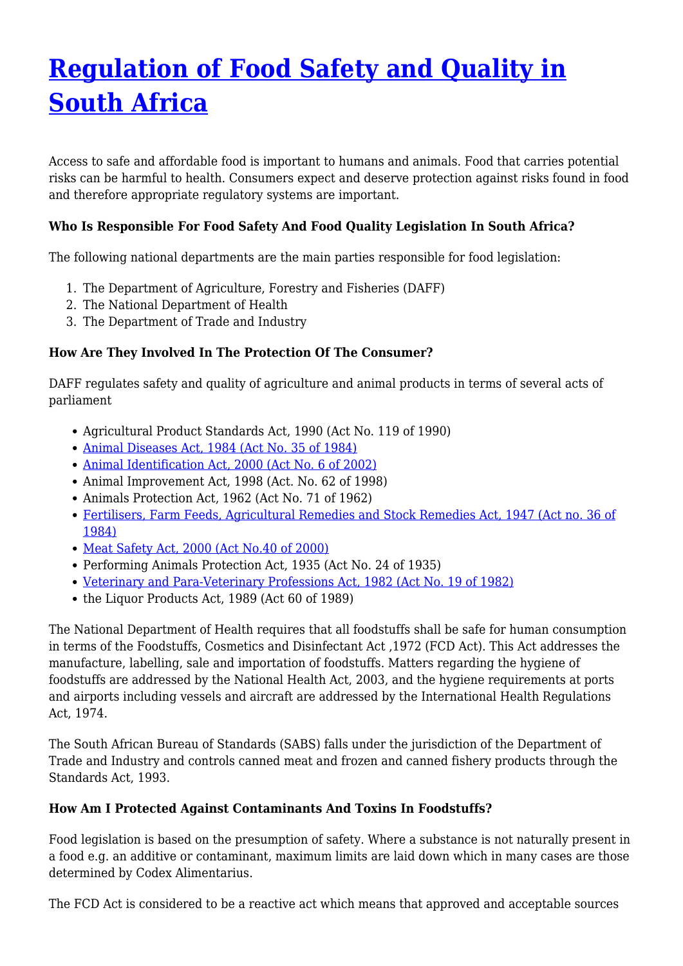# **[Regulation of Food Safety and Quality in](http://foodfacts.org.za/regulation-of-food-safety-and-quality-in-south-africa/) [South Africa](http://foodfacts.org.za/regulation-of-food-safety-and-quality-in-south-africa/)**

Access to safe and affordable food is important to humans and animals. Food that carries potential risks can be harmful to health. Consumers expect and deserve protection against risks found in food and therefore appropriate regulatory systems are important.

## **Who Is Responsible For Food Safety And Food Quality Legislation In South Africa?**

The following national departments are the main parties responsible for food legislation:

- 1. The Department of Agriculture, Forestry and Fisheries (DAFF)
- 2. The National Department of Health
- 3. The Department of Trade and Industry

## **How Are They Involved In The Protection Of The Consumer?**

DAFF regulates safety and quality of agriculture and animal products in terms of several acts of parliament

- Agricultural Product Standards Act, 1990 (Act No. 119 of 1990)
- [Animal Diseases Act, 1984 \(Act No. 35 of 1984\)](https://www.daff.gov.za/daffweb3/Branches/Agricultural-Production-Health-Food-Safety/Animal-Health/importexport/legislation/diseaseact)
- [Animal Identification Act, 2000 \(Act No. 6 of 2002\)](https://www.daff.gov.za/daffweb3/Branches/Agricultural-Production-Health-Food-Safety/Animal-Health/importexport/legislation/meat)
- Animal Improvement Act, 1998 (Act. No. 62 of 1998)
- Animals Protection Act, 1962 (Act No. 71 of 1962)
- [Fertilisers, Farm Feeds, Agricultural Remedies and Stock Remedies Act, 1947 \(Act no. 36 of](https://www.nda.agric.za/vetweb/Legislation/Other%20acts/Act%2036%20of%201947.pdf) [1984\)](https://www.nda.agric.za/vetweb/Legislation/Other%20acts/Act%2036%20of%201947.pdf)
- [Meat Safety Act, 2000 \(Act No.40 of 2000\)](https://www.daff.gov.za/daffweb3/Branches/Agricultural-Production-Health-Food-Safety/Animal-Health/importexport/legislation/animalid)
- Performing Animals Protection Act, 1935 (Act No. 24 of 1935)
- [Veterinary and Para-Veterinary Professions Act, 1982 \(Act No. 19 of 1982\)](https://www.daff.gov.za/daffweb3/Branches/Agricultural-Production-Health-Food-Safety/Animal-Health/importexport/legislation/vetpara)
- the Liquor Products Act, 1989 (Act 60 of 1989)

The National Department of Health requires that all foodstuffs shall be safe for human consumption in terms of the Foodstuffs, Cosmetics and Disinfectant Act ,1972 (FCD Act). This Act addresses the manufacture, labelling, sale and importation of foodstuffs. Matters regarding the hygiene of foodstuffs are addressed by the National Health Act, 2003, and the hygiene requirements at ports and airports including vessels and aircraft are addressed by the International Health Regulations Act, 1974.

The South African Bureau of Standards (SABS) falls under the jurisdiction of the Department of Trade and Industry and controls canned meat and frozen and canned fishery products through the Standards Act, 1993.

#### **How Am I Protected Against Contaminants And Toxins In Foodstuffs?**

Food legislation is based on the presumption of safety. Where a substance is not naturally present in a food e.g. an additive or contaminant, maximum limits are laid down which in many cases are those determined by Codex Alimentarius.

The FCD Act is considered to be a reactive act which means that approved and acceptable sources